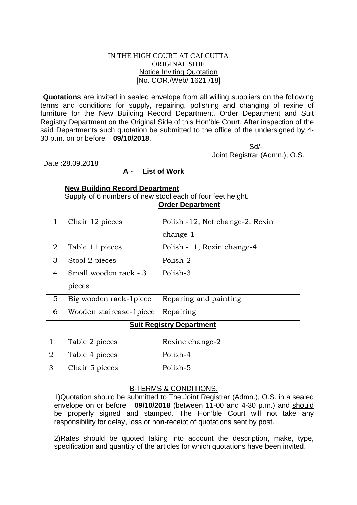#### IN THE HIGH COURT AT CALCUTTA ORIGINAL SIDE Notice Inviting Quotation [No. COR./Web/ 1621 /18]

**Quotations** are invited in sealed envelope from all willing suppliers on the following terms and conditions for supply, repairing, polishing and changing of rexine of furniture for the New Building Record Department, Order Department and Suit Registry Department on the Original Side of this Hon'ble Court. After inspection of the said Departments such quotation be submitted to the office of the undersigned by 4- 30 p.m. on or before **09/10/2018**.

 Sd/- Joint Registrar (Admn.), O.S.

Date :28.09.2018

# **A - List of Work**

### **New Building Record Department**

Supply of 6 numbers of new stool each of four feet height. **Order Department** 

|                | Chair 12 pieces         | Polish -12, Net change-2, Rexin |
|----------------|-------------------------|---------------------------------|
|                |                         | $change-1$                      |
| $\overline{2}$ | Table 11 pieces         | Polish -11, Rexin change-4      |
| 3              | Stool 2 pieces          | Polish-2                        |
| 4              | Small wooden rack - 3   | Polish-3                        |
|                | pieces                  |                                 |
| 5              | Big wooden rack-1 piece | Reparing and painting           |
| 6              | Wooden staircase-1piece | Repairing                       |

# **Suit Registry Department**

| Table 2 pieces | Rexine change-2 |
|----------------|-----------------|
| Table 4 pieces | Polish-4        |
| Chair 5 pieces | Polish-5        |

### B-TERMS & CONDITIONS.

1)Quotation should be submitted to The Joint Registrar (Admn.), O.S. in a sealed envelope on or before **09/10/2018** (between 11-00 and 4-30 p.m.) and should be properly signed and stamped. The Hon'ble Court will not take any responsibility for delay, loss or non-receipt of quotations sent by post.

2)Rates should be quoted taking into account the description, make, type, specification and quantity of the articles for which quotations have been invited.